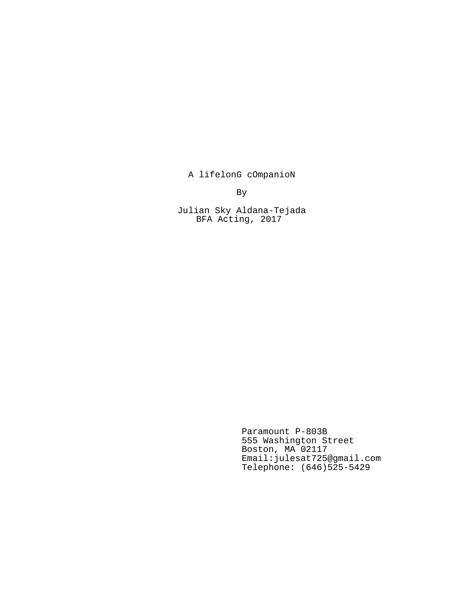A lifelonG cOmpanioN

By

Julian Sky Aldana-Tejada BFA Acting, 2017

> Paramount P-803B 555 Washington Street Boston, MA 02117 Email:julesat725@gmail.com Telephone: (646)525-5429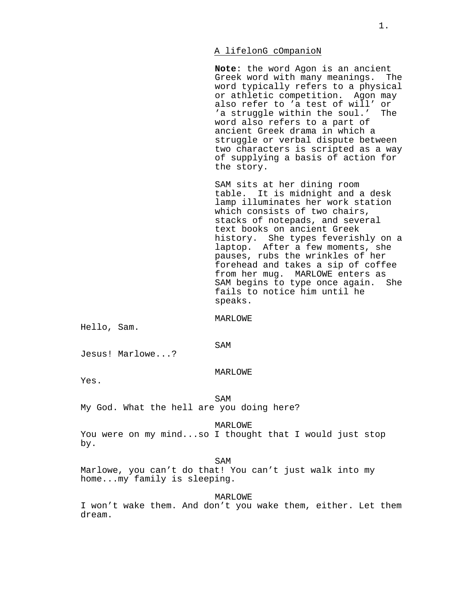## A lifelonG cOmpanioN

**Note**: the word Agon is an ancient Greek word with many meanings. The word typically refers to a physical or athletic competition. Agon may also refer to 'a test of will' or 'a struggle within the soul.' The word also refers to a part of ancient Greek drama in which a struggle or verbal dispute between two characters is scripted as a way of supplying a basis of action for the story.

SAM sits at her dining room table. It is midnight and a desk lamp illuminates her work station which consists of two chairs, stacks of notepads, and several text books on ancient Greek history. She types feverishly on a laptop. After a few moments, she pauses, rubs the wrinkles of her forehead and takes a sip of coffee from her mug. MARLOWE enters as SAM begins to type once again. She fails to notice him until he speaks.

MARLOWE

Hello, Sam.

SAM

Jesus! Marlowe...?

## MARLOWE

Yes.

**SAM** 

My God. What the hell are you doing here?

MARLOWE

You were on my mind...so I thought that I would just stop by.

SAM

Marlowe, you can't do that! You can't just walk into my home...my family is sleeping.

MARLOWE

I won't wake them. And don't you wake them, either. Let them dream.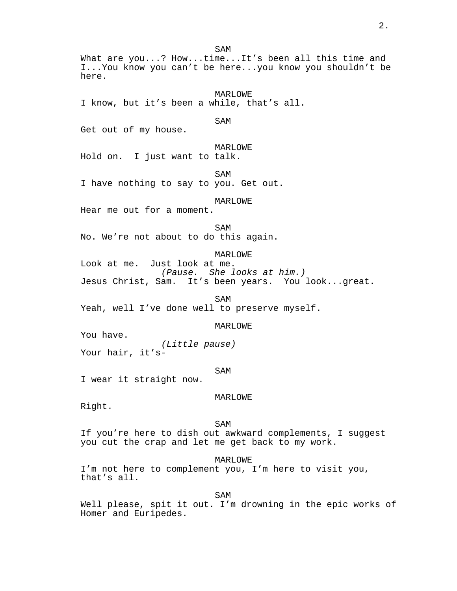SAM What are you...? How...time...It's been all this time and I...You know you can't be here...you know you shouldn't be here. MARLOWE I know, but it's been a while, that's all. SAM Get out of my house. MARLOWE Hold on. I just want to talk. SAM I have nothing to say to you. Get out. MARLOWE Hear me out for a moment. SAM No. We're not about to do this again. MARLOWE Look at me. Just look at me. (Pause. She looks at him.) Jesus Christ, Sam. It's been years. You look...great. SAM Yeah, well I've done well to preserve myself. MARLOWE You have. (Little pause) Your hair, it's-SAM I wear it straight now. MARLOWE Right. SAM If you're here to dish out awkward complements, I suggest you cut the crap and let me get back to my work. MARLOWE I'm not here to complement you, I'm here to visit you, that's all. SAM Well please, spit it out. I'm drowning in the epic works of

Homer and Euripedes.

2.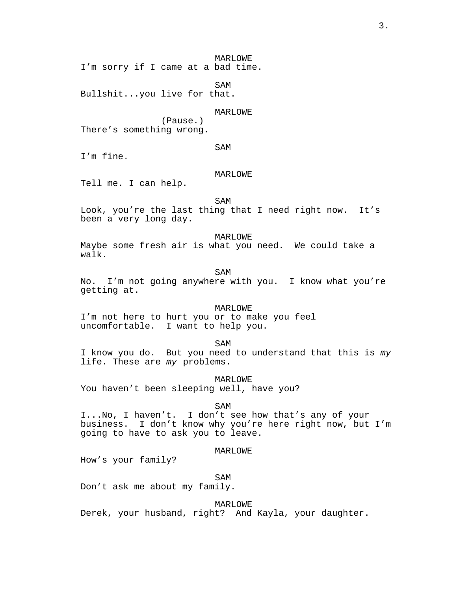MARLOWE

I'm sorry if I came at a bad time.

SAM Bullshit...you live for that.

## MARLOWE

(Pause.) There's something wrong.

# SAM

I'm fine.

# MARLOWE

Tell me. I can help.

SAM

Look, you're the last thing that I need right now. It's been a very long day.

MARLOWE Maybe some fresh air is what you need. We could take a walk.

SAM

No. I'm not going anywhere with you. I know what you're getting at.

# MARLOWE

I'm not here to hurt you or to make you feel uncomfortable. I want to help you.

SAM

I know you do. But you need to understand that this is my life. These are my problems.

MARLOWE

You haven't been sleeping well, have you?

SAM

I...No, I haven't. I don't see how that's any of your business. I don't know why you're here right now, but I'm going to have to ask you to leave.

## MARLOWE

How's your family?

SAM

Don't ask me about my family.

MARLOWE

Derek, your husband, right? And Kayla, your daughter.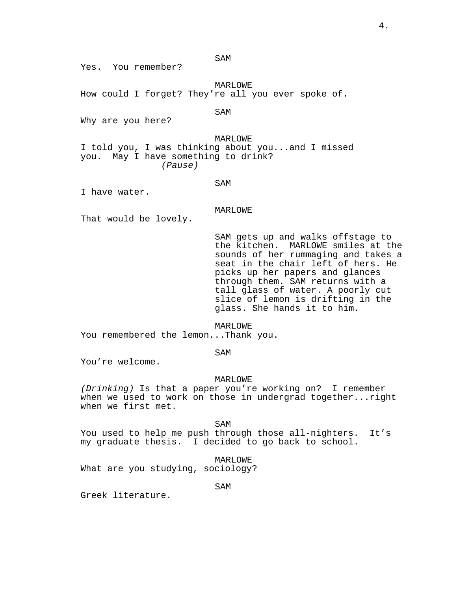SAM

Yes. You remember?

MARLOWE How could I forget? They're all you ever spoke of.

SAM

Why are you here?

MARLOWE I told you, I was thinking about you...and I missed you. May I have something to drink? (Pause)

SAM

I have water.

MARLOWE

That would be lovely.

SAM gets up and walks offstage to the kitchen. MARLOWE smiles at the sounds of her rummaging and takes a seat in the chair left of hers. He picks up her papers and glances through them. SAM returns with a tall glass of water. A poorly cut slice of lemon is drifting in the glass. She hands it to him.

MARLOWE

You remembered the lemon...Thank you.

SAM

You're welcome.

#### MARLOWE

(Drinking) Is that a paper you're working on? I remember when we used to work on those in undergrad together...right when we first met.

SAM

You used to help me push through those all-nighters. It's my graduate thesis. I decided to go back to school.

MARLOWE

What are you studying, sociology?

SAM

Greek literature.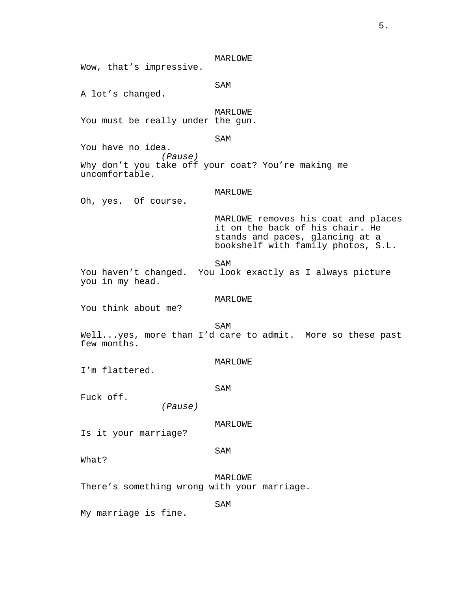MARLOWE Wow, that's impressive. SAM A lot's changed. MARLOWE You must be really under the gun. SAM You have no idea. (Pause) Why don't you take off your coat? You're making me uncomfortable. MARLOWE Oh, yes. Of course. MARLOWE removes his coat and places it on the back of his chair. He stands and paces, glancing at a bookshelf with family photos, S.L. SAM You haven't changed. You look exactly as I always picture you in my head. MARLOWE You think about me? **SAM** Well...yes, more than I'd care to admit. More so these past few months. MARLOWE I'm flattered. SAM Fuck off. (Pause) MARLOWE Is it your marriage? SAM What? MARLOWE There's something wrong with your marriage. SAM My marriage is fine.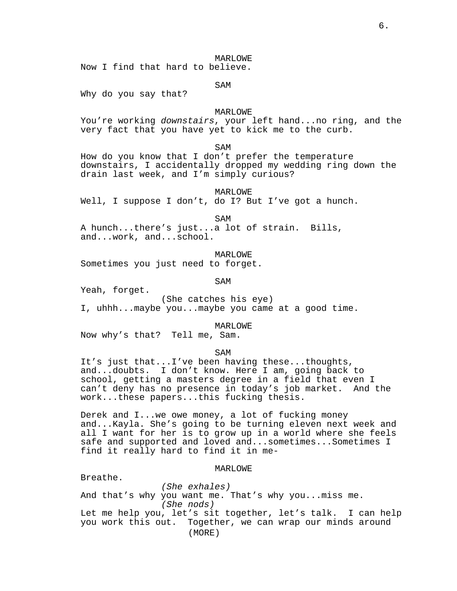MARLOWE

Now I find that hard to believe.

SAM

Why do you say that?

### MARLOWE

You're working downstairs, your left hand...no ring, and the very fact that you have yet to kick me to the curb.

SAM

How do you know that I don't prefer the temperature downstairs, I accidentally dropped my wedding ring down the drain last week, and I'm simply curious?

MARLOWE

Well, I suppose I don't, do I? But I've got a hunch.

SAM

A hunch...there's just...a lot of strain. Bills, and...work, and...school.

MARLOWE Sometimes you just need to forget.

SAM

Yeah, forget.

(She catches his eye) I, uhhh...maybe you...maybe you came at a good time.

MARLOWE

Now why's that? Tell me, Sam.

SAM

It's just that...I've been having these...thoughts, and...doubts. I don't know. Here I am, going back to school, getting a masters degree in a field that even I can't deny has no presence in today's job market. And the work...these papers...this fucking thesis.

Derek and I...we owe money, a lot of fucking money and...Kayla. She's going to be turning eleven next week and all I want for her is to grow up in a world where she feels safe and supported and loved and...sometimes...Sometimes I find it really hard to find it in me-

MARLOWE

Breathe.

(She exhales) And that's why you want me. That's why you...miss me. (She nods) Let me help you, let's sit together, let's talk. I can help you work this out. Together, we can wrap our minds around (MORE)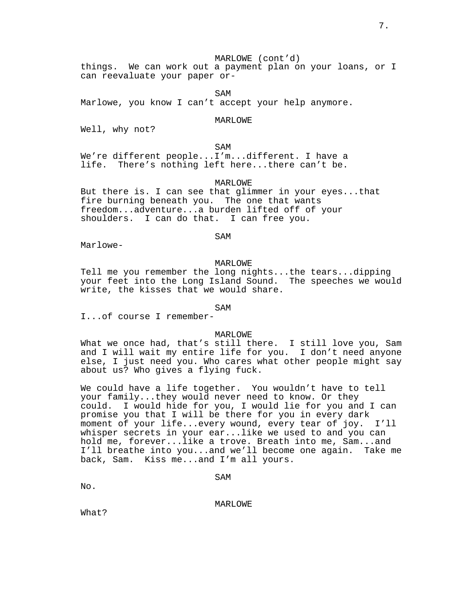7.

# MARLOWE (cont'd)

things. We can work out a payment plan on your loans, or I can reevaluate your paper or-

SAM

Marlowe, you know I can't accept your help anymore.

## MARLOWE

Well, why not?

SAM

We're different people...I'm...different. I have a life. There's nothing left here...there can't be.

MARLOWE

But there is. I can see that glimmer in your eyes...that fire burning beneath you. The one that wants freedom...adventure...a burden lifted off of your shoulders. I can do that. I can free you.

SAM

Marlowe-

# MARLOWE

Tell me you remember the long nights...the tears...dipping your feet into the Long Island Sound. The speeches we would write, the kisses that we would share.

SAM

I...of course I remember-

#### MARLOWE

What we once had, that's still there. I still love you, Sam and I will wait my entire life for you. I don't need anyone else, I just need you. Who cares what other people might say about us? Who gives a flying fuck.

We could have a life together. You wouldn't have to tell your family...they would never need to know. Or they could. I would hide for you, I would lie for you and I can promise you that I will be there for you in every dark moment of your life...every wound, every tear of joy. I'll whisper secrets in your ear...like we used to and you can hold me, forever...like a trove. Breath into me, Sam...and I'll breathe into you...and we'll become one again. Take me back, Sam. Kiss me...and I'm all yours.

No.

MARLOWE

What?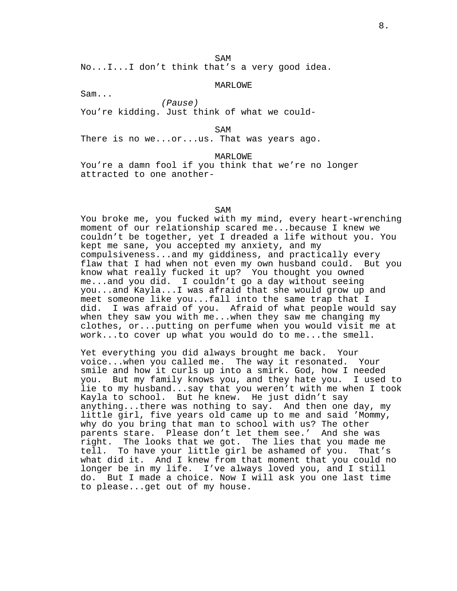SAM

No...I...I don't think that's a very good idea.

MARLOWE

Sam...

(Pause) You're kidding. Just think of what we could-

SAM

There is no we...or...us. That was years ago.

MARLOWE

You're a damn fool if you think that we're no longer attracted to one another-

SAM

You broke me, you fucked with my mind, every heart-wrenching moment of our relationship scared me...because I knew we couldn't be together, yet I dreaded a life without you. You kept me sane, you accepted my anxiety, and my compulsiveness...and my giddiness, and practically every flaw that I had when not even my own husband could. But you know what really fucked it up? You thought you owned me...and you did. I couldn't go a day without seeing you...and Kayla...I was afraid that she would grow up and meet someone like you...fall into the same trap that I did. I was afraid of you. Afraid of what people would say when they saw you with me...when they saw me changing my clothes, or...putting on perfume when you would visit me at work...to cover up what you would do to me...the smell.

Yet everything you did always brought me back. Your voice...when you called me. The way it resonated. Your smile and how it curls up into a smirk. God, how I needed you. But my family knows you, and they hate you. I used to lie to my husband...say that you weren't with me when I took Kayla to school. But he knew. He just didn't say anything...there was nothing to say. And then one day, my little girl, five years old came up to me and said 'Mommy, why do you bring that man to school with us? The other parents stare. Please don't let them see.' And she was right. The looks that we got. The lies that you made me tell. To have your little girl be ashamed of you. That's what did it. And I knew from that moment that you could no longer be in my life. I've always loved you, and I still do. But I made a choice. Now I will ask you one last time to please...get out of my house.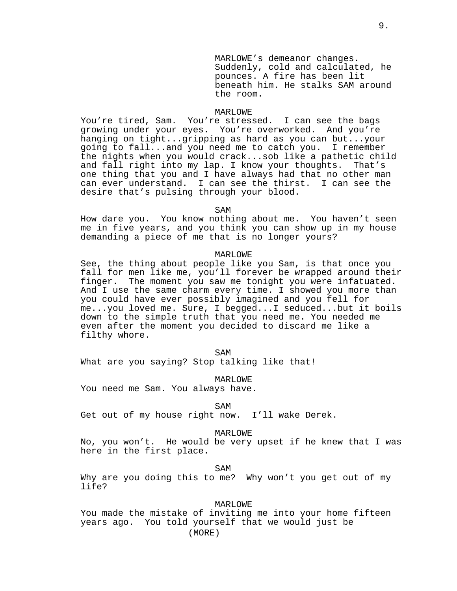MARLOWE's demeanor changes. Suddenly, cold and calculated, he pounces. A fire has been lit beneath him. He stalks SAM around the room.

### MARLOWE

You're tired, Sam. You're stressed. I can see the bags growing under your eyes. You're overworked. And you're hanging on tight...gripping as hard as you can but...your going to fall...and you need me to catch you. I remember the nights when you would crack...sob like a pathetic child and fall right into my lap. I know your thoughts. That's one thing that you and I have always had that no other man can ever understand. I can see the thirst. I can see the desire that's pulsing through your blood.

SAM

How dare you. You know nothing about me. You haven't seen me in five years, and you think you can show up in my house demanding a piece of me that is no longer yours?

## MARLOWE

See, the thing about people like you Sam, is that once you fall for men like me, you'll forever be wrapped around their finger. The moment you saw me tonight you were infatuated. And I use the same charm every time. I showed you more than you could have ever possibly imagined and you fell for me...you loved me. Sure, I begged...I seduced...but it boils down to the simple truth that you need me. You needed me even after the moment you decided to discard me like a filthy whore.

SAM

What are you saying? Stop talking like that!

MARLOWE

You need me Sam. You always have.

SAM

Get out of my house right now. I'll wake Derek.

MARLOWE

No, you won't. He would be very upset if he knew that I was here in the first place.

SAM

Why are you doing this to me? Why won't you get out of my life?

MARLOWE

You made the mistake of inviting me into your home fifteen years ago. You told yourself that we would just be (MORE)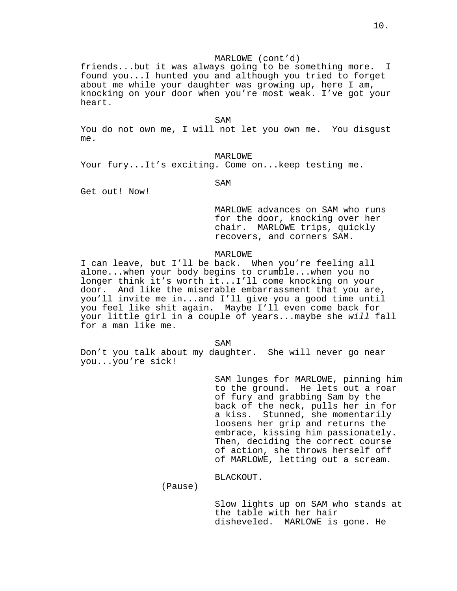friends...but it was always going to be something more. I found you...I hunted you and although you tried to forget about me while your daughter was growing up, here I am, knocking on your door when you're most weak. I've got your heart.

SAM

You do not own me, I will not let you own me. You disgust me.

## MARLOWE

Your fury...It's exciting. Come on...keep testing me.

SAM

Get out! Now!

MARLOWE advances on SAM who runs for the door, knocking over her chair. MARLOWE trips, quickly recovers, and corners SAM.

## MARLOWE

I can leave, but I'll be back. When you're feeling all alone...when your body begins to crumble...when you no longer think it's worth it...I'll come knocking on your door. And like the miserable embarrassment that you are, you'll invite me in...and I'll give you a good time until you feel like shit again. Maybe I'll even come back for your little girl in a couple of years...maybe she will fall for a man like me.

SAM

Don't you talk about my daughter. She will never go near you...you're sick!

> SAM lunges for MARLOWE, pinning him to the ground. He lets out a roar of fury and grabbing Sam by the back of the neck, pulls her in for a kiss. Stunned, she momentarily loosens her grip and returns the embrace, kissing him passionately. Then, deciding the correct course of action, she throws herself off of MARLOWE, letting out a scream.

BLACKOUT.

(Pause)

Slow lights up on SAM who stands at the table with her hair disheveled. MARLOWE is gone. He